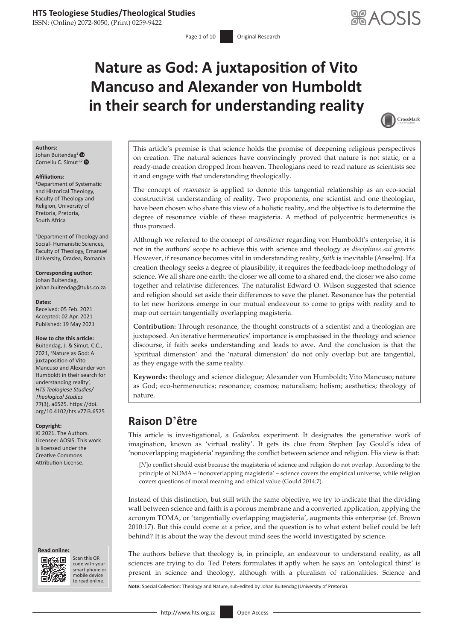# **Nature as God: A juxtaposition of Vito Mancuso and Alexander von Humboldt in their search for understanding reality**



#### **Authors:**

Johan Buitendag<sup>1</sup> <sup>®</sup> Corneliu C. Simut<sup>1,[2](http://orcid.org/0000-0002-1001-230X)</sup>

#### **Affiliations:**

1 Department of Systematic and Historical Theology, Faculty of Theology and Religion, University of Pretoria, Pretoria, South Africa

2 Department of Theology and Social- Humanistic Sciences, Faculty of Theology, Emanuel University, Oradea, Romania

**Corresponding author:** Johan Buitendag, [johan.buitendag@tuks.co.za](mailto:johan.buitendag@tuks.co.za)

#### **Dates:**

Received: 05 Feb. 2021 Accepted: 02 Apr. 2021 Published: 19 May 2021

#### **How to cite this article:**

Buitendag, J. & Simut, C.C., 2021, 'Nature as God: A juxtaposition of Vito Mancuso and Alexander von Humboldt in their search for understanding reality', *HTS Teologiese Studies/ Theological Studies* 77(3), a6525. [https://doi.](https://doi.org/10.4102/hts.v77i3.6525) [org/10.4102/hts.v77i3.6525](https://doi.org/10.4102/hts.v77i3.6525)

#### **Copyright:**

© 2021. The Authors. Licensee: AOSIS. This work is licensed under the Creative Commons Attribution License.

#### **Read online: Read online:**



Scan this QR code with your Scan this QR<br>code with your<br>smart phone or<br>mobile device mobile device to read online. to read online.

This article's premise is that science holds the promise of deepening religious perspectives on creation. The natural sciences have convincingly proved that nature is not static, or a ready-made creation dropped from heaven. Theologians need to read nature as scientists see it and engage with *that* understanding theologically.

The concept of *resonance* is applied to denote this tangential relationship as an eco-social constructivist understanding of reality. Two proponents, one scientist and one theologian, have been chosen who share this view of a holistic reality, and the objective is to determine the degree of resonance viable of these magisteria. A method of polycentric hermeneutics is thus pursued.

Although we referred to the concept of *consilience* regarding von Humboldt's enterprise, it is not in the authors' scope to achieve this with science and theology as *disciplines sui generis*. However, if resonance becomes vital in understanding reality, *faith* is inevitable (Anselm). If a creation theology seeks a degree of plausibility, it requires the feedback-loop methodology of science. We all share one earth: the closer we all come to a shared end, the closer we also come together and relativise differences. The naturalist Edward O. Wilson suggested that science and religion should set aside their differences to save the planet. Resonance has the potential to let new horizons emerge in our mutual endeavour to come to grips with reality and to map out certain tangentially overlapping magisteria.

**Contribution:** Through resonance, the thought constructs of a scientist and a theologian are juxtaposed. An iterative hermeneutics' importance is emphasised in the theology and science discourse, if faith seeks understanding and leads to awe. And the conclusion is that the 'spiritual dimension' and the 'natural dimension' do not only overlap but are tangential, as they engage with the same reality.

**Keywords:** theology and science dialogue; Alexander von Humboldt; Vito Mancuso; nature as God; eco-hermeneutics; resonance; cosmos; naturalism; holism; aesthetics; theology of nature.

### **Raison D'être**

This article is investigational, a *Gedanken* experiment. It designates the generative work of imagination, known as 'virtual reality'. It gets its clue from Stephen Jay Gould's idea of 'nonoverlapping magisteria' regarding the conflict between science and religion. His view is that:

[*N*]o conflict should exist because the magisteria of science and religion do not overlap. According to the principle of NOMA – 'nonoverlapping magisteria' – science covers the empirical universe, while religion covers questions of moral meaning and ethical value (Gould 2014:7).

Instead of this distinction, but still with the same objective, we try to indicate that the dividing wall between science and faith is a porous membrane and a converted application, applying the acronym TOMA, or 'tangentially overlapping magisteria', augments this enterprise (cf. Brown 2010:17). But this could come at a price, and the question is to what extent belief could be left behind? It is about the way the devout mind sees the world investigated by science.

The authors believe that theology is, in principle, an endeavour to understand reality, as all sciences are trying to do. Ted Peters formulates it aptly when he says an 'ontological thirst' is present in science and theology, although with a pluralism of rationalities. Science and

**Note:** Special Collection: Theology and Nature, sub-edited by Johan Buitendag (University of Pretoria).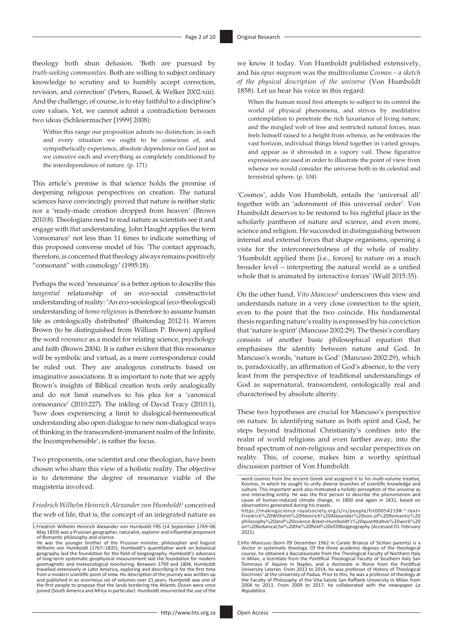theology both shun delusion. 'Both are pursued by *truth-seeking communities*. Both are willing to subject ordinary knowledge to scrutiny and to humbly accept correction, revision, and correction' (Peters, Russel, & Welker 2002:xiii). And the challenge, of course, is to stay faithful to a discipline's core values. Yet, we cannot admit a contradiction between two ideas (Schleiermacher [1999] 2008):

Within this range our proposition admits no distinction; in each and every situation we ought to be conscious of, and sympathetically experience, absolute dependence on God just as we conceive each and everything as completely conditioned by the interdependence of nature. (p. 171)

This article's premise is that science holds the promise of deepening religious perspectives on creation. The natural sciences have convincingly proved that nature is neither static nor a 'ready-made creation dropped from heaven' (Brown 2010:8). Theologians need to read nature as scientists see it and engage with *that* understanding. John Haught applies the term 'consonance' not less than 11 times to indicate something of this proposed converse model of his: 'The contact approach, therefore, is concerned that theology always remains positively "consonant" with cosmology' (1995:18).

Perhaps the word 'resonance' is a better option to describe this *tangential* relationship of an eco-social constructivist understanding of reality: 'An eco-sociological (eco-theological) understanding of *homo religiosus* is therefore to assume human life as ontologically distributed' (Buitendag 2012:1). Warren Brown (to be distinguished from William P. Brown) applied the word *resonance* as a model for relating science, psychology and faith (Brown 2004). It is rather evident that this resonance will be symbolic and virtual, as a mere correspondence could be ruled out. They are analogous constructs based on imaginative associations. It is important to note that we apply Brown's insights of Biblical creation texts only analogically and do not limit ourselves to his plea for a 'canonical consonance' (2010:227). The inkling of David Tracy (2010:1), 'how does experiencing a limit to dialogical-hermeneutical understanding also open dialogue to new non-dialogical ways of thinking in the transcendent-immanent realm of the Infinite, the Incomprehensible', is rather the focus.

Two proponents, one scientist and one theologian, have been chosen who share this view of a holistic reality. The objective is to determine the degree of resonance viable of the magisteria involved.

*Friedrich Wilhelm Heinrich Alexander von Humboldt*<sup>1</sup> conceived the web of life, that is, the concept of an integrated nature as

we know it today. Von Humboldt published extensively, and his *opus magnum* was the multivolume *Cosmos – a sketch of the physical description of the universe* (Von Humboldt 1858). Let us hear his voice in this regard:

When the human mind first attempts to subject to its control the world of physical phenomena, and strives by meditative contemplation to penetrate the rich luxuriance of living nature, and the mingled web of free and restricted natural forces, man feels himself raised to a height from whence, as he embraces the vast horizon, individual things blend together in varied groups, and appear as if shrouded in a vapory vail. These figurative expressions are used in order to illustrate the point of view from whence we would consider the universe both in its celestial and terrestrial sphere. (p. 104)

'Cosmos', adds Von Humboldt, entails the 'universal all' together with an 'adornment of this universal order'. Von Humboldt deserves to be restored to his rightful place in the scholarly pantheon of nature and science, and even more, science and religion. He succeeded in distinguishing between internal and external forces that shape organisms, opening a vista for the interconnectedness of the whole of reality. 'Humboldt applied them [i.e., forces] to nature on a much broader level – interpreting the natural world as a unified whole that is animated by interactive forces' (Wulf 2015:35).

On the other hand, Vito Mancuso<sup>2</sup> underscores this view and understands nature in a very close connection to the spirit, even to the point that the two coincide. His fundamental thesis regarding nature's reality is expressed by his conviction that 'nature is spirit' (Mancuso 2002:29). The thesis's corollary consists of another basic philosophical equation that emphasises the identity between nature and God. In Mancuso's words, 'nature is God' (Mancuso 2002:29), which is, paradoxically, an affirmation of God's absence, to the very least from the perspective of traditional understandings of God as supernatural, transcendent, ontologically real and characterised by absolute alterity.

These two hypotheses are crucial for Mancuso's perspective on nature. In identifying nature as both spirit and God, he steps beyond traditional Christianity's confines into the realm of world religions and even farther away, into the broad spectrum of non-religious and secular perspectives on reality. This, of course, makes him a worthy spiritual discussion partner of Von Humboldt.

<sup>1.</sup>Friedrich Wilhelm Heinrich Alexander von Humboldt FRS (14 September 1769–06 May 1859) was a Prussian geographer, naturalist, explorer and influential proponent

of Romantic philosophy and science. He was the younger brother of the Prussian minister, philosopher and linguist Wilhelm von Humboldt (1767–1835). Humboldt's quantitative work on botanical geography laid the foundation for the field of biogeography. Humboldt's advocacy<br>of long-term systematic geophysical measurement laid the foundation for modern<br>geomagnetic and meteorological monitoring. Between 1799 and 18 travelled extensively in Latin America, exploring and describing it for the first time from a modern scientific point of view. His description of the journey was written up and published in an enormous set of volumes over 21 years. Humboldt was one of the first people to propose that the lands bordering the Atlantic Ocean were once joined (South America and Africa in particular). Humboldt resurrected the use of the

word cosmos from the ancient Greek and assigned it to his multi-volume treatise, Kosmos, in which he sought to unify diverse branches of scientific knowledge and culture. This important work also motivated a holistic perception of the universe as one interacting entity. He was the first person to describe the phenomenon and cause of human-induced climate change, in 1800 and again in 1831, based on

observations generated during his travels.<br>[https://makingscience.royalsociety.org/s/rs/people/fst00054219#:~:text=](https://makingscience.royalsociety.org/s/rs/people/fst00054219#:~:text=Friedrich%20Wilhelm%20Heinrich%20Alexander%20von,of%20Romantic%20philosophy%20and%20science.&text=Humboldt’s%20quantitative%20work%20on%20botanical,for%20the%20field%20of20biogeography)<br>Friedrich%20Wilhelm%20Heinrich%20Alexander%20von,of%20Romantic%20 philosophy%20and%[20science.&text=Humboldt's](https://makingscience.royalsociety.org/s/rs/people/fst00054219#:~:text=Friedrich%20Wilhelm%20Heinrich%20Alexander%20von,of%20Romantic%20philosophy%20and%20science.&text=Humboldt’s%20quantitative%20work%20on%20botanical,for%20the%20field%20of20biogeography)%20quantitative%20work%20 on%20botanical,for%20the%20field%[20of20biogeography](https://makingscience.royalsociety.org/s/rs/people/fst00054219#:~:text=Friedrich%20Wilhelm%20Heinrich%20Alexander%20von,of%20Romantic%20philosophy%20and%20science.&text=Humboldt’s%20quantitative%20work%20on%20botanical,for%20the%20field%20of20biogeography) (Accessed 01 February  $2021$ ).

<sup>2.</sup>Vito Mancuso (born 09 December 1962 in Carate Brianza of Sicilian parents) is a<br>doctor in systematic theology. Of the three academic degrees of the theological<br>course, he obtained a Baccalaureate from the Theological Fac in Milan, a licentiate from the Pontifical Theological Faculty of Southern Italy San Tommaso d' Aquino in Naples, and a doctorate in Rome from the Pontifical University Lateran. From 2013 to 2014, he was professor of History of Theological Doctrines' at the University of Padua. Prior to this, he was a professor of theology at the Faculty of Philosophy of the Vita-Salute San Raffaele University in Milan from 2004 to 2011. From 2009 to 2017, he collaborated with the newspaper *La Repubblica*.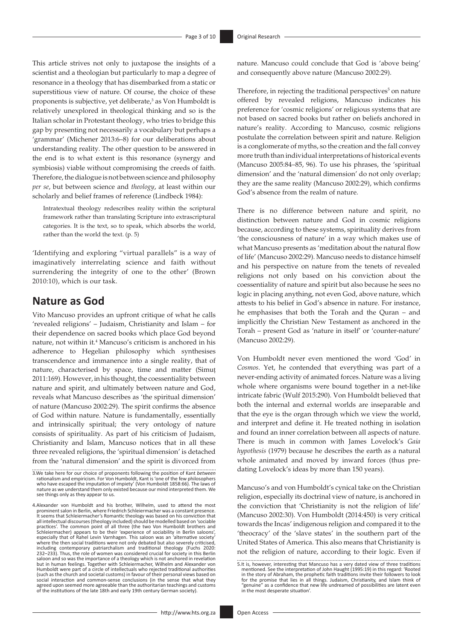This article strives not only to juxtapose the insights of a scientist and a theologian but particularly to map a degree of resonance in a theology that has disembarked from a static or superstitious view of nature. Of course, the choice of these proponents is subjective, yet deliberate,<sup>3</sup> as Von Humboldt is relatively unexplored in theological thinking and so is the Italian scholar in Protestant theology, who tries to bridge this gap by presenting not necessarily a vocabulary but perhaps a 'grammar' (Michener 2013:6–8) for our deliberations about understanding reality. The other question to be answered in the end is to what extent is this resonance (synergy and symbiosis) viable without compromising the creeds of faith. Therefore, the dialogue is not between science and philosophy *per se*, but between science and *theology*, at least within our scholarly and belief frames of reference (Lindbeck 1984):

Intratextual theology redescribes reality within the scriptural framework rather than translating Scripture into extrascriptural categories. It is the text, so to speak, which absorbs the world, rather than the world the text. (p. 5)

'Identifying and exploring "virtual parallels" is a way of imaginatively interrelating science and faith without surrendering the integrity of one to the other' (Brown 2010:10), which is our task.

### **Nature as God**

Vito Mancuso provides an upfront critique of what he calls 'revealed religions' – Judaism, Christianity and Islam – for their dependence on sacred books which place God beyond nature, not within it.4 Mancuso's criticism is anchored in his adherence to Hegelian philosophy which synthesises transcendence and immanence into a single reality, that of nature, characterised by space, time and matter (Simuț 2011:169). However, in his thought, the coessentiality between nature and spirit, and ultimately between nature and God, reveals what Mancuso describes as 'the spiritual dimension' of nature (Mancuso 2002:29). The spirit confirms the absence of God within nature. Nature is fundamentally, essentially and intrinsically spiritual; the very ontology of nature consists of spirituality. As part of his criticism of Judaism, Christianity and Islam, Mancuso notices that in all these three revealed religions, the 'spiritual dimension' is detached from the 'natural dimension' and the spirit is divorced from

nature. Mancuso could conclude that God is 'above being' and consequently above nature (Mancuso 2002:29).

Therefore, in rejecting the traditional perspectives<sup>5</sup> on nature offered by revealed religions, Mancuso indicates his preference for 'cosmic religions' or religious systems that are not based on sacred books but rather on beliefs anchored in nature's reality. According to Mancuso, cosmic religions postulate the correlation between spirit and nature. Religion is a conglomerate of myths, so the creation and the fall convey more truth than individual interpretations of historical events (Mancuso 2005:84–85, 96). To use his phrases, the 'spiritual dimension' and the 'natural dimension' do not only overlap; they are the same reality (Mancuso 2002:29), which confirms God's absence from the realm of nature.

There is no difference between nature and spirit, no distinction between nature and God in cosmic religions because, according to these systems, spirituality derives from 'the consciousness of nature' in a way which makes use of what Mancuso presents as 'meditation about the natural flow of life' (Mancuso 2002:29). Mancuso needs to distance himself and his perspective on nature from the tenets of revealed religions not only based on his conviction about the coessentiality of nature and spirit but also because he sees no logic in placing anything, not even God, above nature, which attests to his belief in God's absence in nature. For instance, he emphasises that both the Torah and the Quran – and implicitly the Christian New Testament as anchored in the Torah – present God as 'nature in itself' or 'counter-nature' (Mancuso 2002:29).

Von Humboldt never even mentioned the word 'God' in *Cosmos*. Yet, he contended that everything was part of a never-ending activity of animated forces. Nature was a living whole where organisms were bound together in a net-like intricate fabric (Wulf 2015:290). Von Humboldt believed that both the internal and external worlds are inseparable and that the eye is the organ through which we view the world, and interpret and define it. He treated nothing in isolation and found an inner correlation between all aspects of nature. There is much in common with James Lovelock's *Gaia hypothesis* (1979) because he describes the earth as a natural whole animated and moved by inward forces (thus predating Lovelock's ideas by more than 150 years).

Mancuso's and von Humboldt's cynical take on the Christian religion, especially its doctrinal view of nature, is anchored in the conviction that 'Christianity is not the religion of life' (Mancuso 2002:30). Von Humboldt (2014:450) is very critical towards the Incas' indigenous religion and compared it to the 'theocracy' of the 'slave states' in the southern part of the United States of America. This also means that Christianity is not the religion of nature, according to their logic. Even if

<sup>3.</sup>We take here for our choice of proponents following the position of Kant *between* rationalism and empiricism. For Von Humboldt, Kant is 'one of the few philosophers who have escaped the imputation of impiety' (Von Humboldt 1858:66). The laws of nature as we understand them only existed because our mind interpreted them. We see things only as they appear to us.

<sup>4.</sup>Alexander von Humboldt and his brother, Wilhelm, used to attend the most prominent salon in Berlin, where Friedrich Schleiermacher was a constant presence. It seems that Schleiermacher's Romantic theology was based on his conviction that all intellectual discourses (theology included) should be modelled based on 'sociable<br>practices'. The common point of all three (the two Von Humboldt brothers and<br>Schleiermacher) appears to be their 'experience of sociabil especially that of Rahel Levin Varnhagen. This saloon was an 'alternative society' where the then social traditions were not only debated but also severely criticised, including contemporary patriarchalism and traditional theology (Fuchs 2020: 232–233). Thus, the role of women was considered crucial for society in this Berlin saloon and so was the importance of a theology which is not anchored in revelation but in human feelings. Together with Schleiermacher, Wilhelm and Alexander von Humboldt were part of a circle of intellectuals who rejected traditional authorities (such as the church and societal customs) in favour of their personal views based on social interaction and common-sense conclusions (in the sense that what they agreed upon seemed more agreeable than the authoritarian teachings and customs of the institutions of the late 18th and early 19th century German society).

<sup>5.</sup>It is, however, interesting that Mancuso has a very dated view of three traditions mentioned. See the interpretation of John Haught (1995:19) in this regard: 'Rooted in the story of Abraham, the prophetic faith traditions invite their followers to look for the promise that lies in all things. Judaism, Christianity, and Islam think of "genuine" as a confidence that new life undreamed of possibilities are latent even in the most desperate situation'.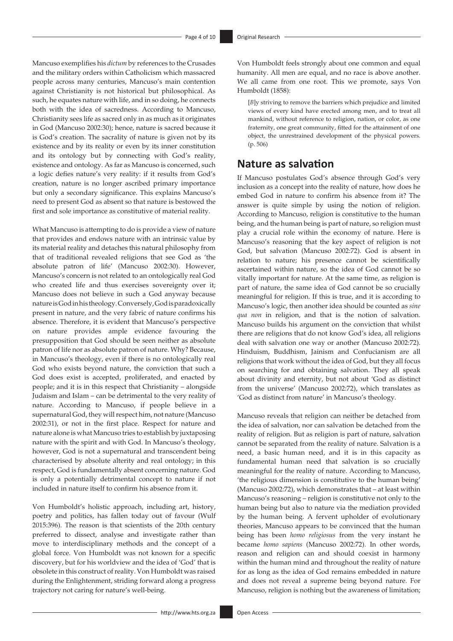Mancuso exemplifies his *dictum* by references to the Crusades and the military orders within Catholicism which massacred people across many centuries, Mancuso's main contention against Christianity is not historical but philosophical. As such, he equates nature with life, and in so doing, he connects both with the idea of sacredness. According to Mancuso, Christianity sees life as sacred only in as much as it originates in God (Mancuso 2002:30); hence, nature is sacred because it is God's creation. The sacrality of nature is given not by its existence and by its reality or even by its inner constitution and its ontology but by connecting with God's reality, existence and ontology. As far as Mancuso is concerned, such a logic defies nature's very reality: if it results from God's creation, nature is no longer ascribed primary importance but only a secondary significance. This explains Mancuso's need to present God as absent so that nature is bestowed the first and sole importance as constitutive of material reality.

What Mancuso is attempting to do is provide a view of nature that provides and endows nature with an intrinsic value by its material reality and detaches this natural philosophy from that of traditional revealed religions that see God as 'the absolute patron of life' (Mancuso 2002:30). However, Mancuso's concern is not related to an ontologically real God who created life and thus exercises sovereignty over it; Mancuso does not believe in such a God anyway because nature is God in his theology. Conversely, God is paradoxically present in nature, and the very fabric of nature confirms his absence. Therefore, it is evident that Mancuso's perspective on nature provides ample evidence favouring the presupposition that God should be seen neither as absolute patron of life nor as absolute patron of nature. Why? Because, in Mancuso's theology, even if there is no ontologically real God who exists beyond nature, the conviction that such a God does exist is accepted, proliferated, and enacted by people; and it is in this respect that Christianity – alongside Judaism and Islam – can be detrimental to the very reality of nature. According to Mancuso, if people believe in a supernatural God, they will respect him, not nature (Mancuso 2002:31), or not in the first place. Respect for nature and nature alone is what Mancuso tries to establish by juxtaposing nature with the spirit and with God. In Mancuso's theology, however, God is not a supernatural and transcendent being characterised by absolute alterity and real ontology; in this respect, God is fundamentally absent concerning nature. God is only a potentially detrimental concept to nature if not included in nature itself to confirm his absence from it.

Von Humboldt's holistic approach, including art, history, poetry and politics, has fallen today out of favour (Wulf 2015:396). The reason is that scientists of the 20th century preferred to dissect, analyse and investigate rather than move to interdisciplinary methods and the concept of a global force. Von Humboldt was not known for a specific discovery, but for his worldview and the idea of 'God' that is obsolete in this construct of reality. Von Humboldt was raised during the Enlightenment, striding forward along a progress trajectory not caring for nature's well-being.

Von Humboldt feels strongly about one common and equal humanity. All men are equal, and no race is above another. We all came from one root. This we promote, says Von Humboldt (1858):

[*B*]y striving to remove the barriers which prejudice and limited views of every kind have erected among men, and to treat all mankind, without reference to religion, nation, or color, as one fraternity, one great community, fitted for the attainment of one object, the unrestrained development of the physical powers. (p. 506)

### **Nature as salvation**

If Mancuso postulates God's absence through God's very inclusion as a concept into the reality of nature, how does he embed God in nature to confirm his absence from it? The answer is quite simple by using the notion of religion. According to Mancuso, religion is constitutive to the human being, and the human being is part of nature, so religion must play a crucial role within the economy of nature. Here is Mancuso's reasoning that the key aspect of religion is not God, but salvation (Mancuso 2002:72). God is absent in relation to nature; his presence cannot be scientifically ascertained within nature, so the idea of God cannot be so vitally important for nature. At the same time, as religion is part of nature, the same idea of God cannot be so crucially meaningful for religion. If this is true, and it is according to Mancuso's logic, then another idea should be counted as *sine qua non* in religion, and that is the notion of salvation. Mancuso builds his argument on the conviction that whilst there are religions that do not know God's idea, all religions deal with salvation one way or another (Mancuso 2002:72). Hinduism, Buddhism, Jainism and Confucianism are all religions that work without the idea of God, but they all focus on searching for and obtaining salvation. They all speak about divinity and eternity, but not about 'God as distinct from the universe' (Mancuso 2002:72), which translates as 'God as distinct from nature' in Mancuso's theology.

Mancuso reveals that religion can neither be detached from the idea of salvation, nor can salvation be detached from the reality of religion. But as religion is part of nature, salvation cannot be separated from the reality of nature. Salvation is a need, a basic human need, and it is in this capacity as fundamental human need that salvation is so crucially meaningful for the reality of nature. According to Mancuso, 'the religious dimension is constitutive to the human being' (Mancuso 2002:72), which demonstrates that – at least within Mancuso's reasoning – religion is constitutive not only to the human being but also to nature via the mediation provided by the human being. A fervent upholder of evolutionary theories, Mancuso appears to be convinced that the human being has been *homo religiosus* from the very instant he became *homo sapiens* (Mancuso 2002:72). In other words, reason and religion can and should coexist in harmony within the human mind and throughout the reality of nature for as long as the idea of God remains embedded in nature and does not reveal a supreme being beyond nature. For Mancuso, religion is nothing but the awareness of limitation;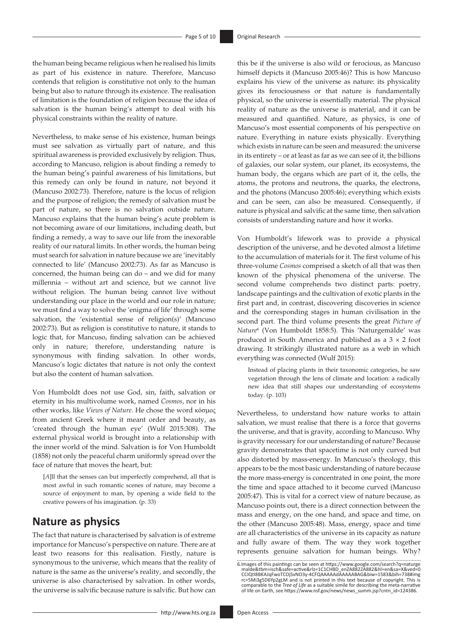the human being became religious when he realised his limits as part of his existence in nature. Therefore, Mancuso contends that religion is constitutive not only to the human being but also to nature through its existence. The realisation of limitation is the foundation of religion because the idea of salvation is the human being's attempt to deal with his physical constraints within the reality of nature.

Nevertheless, to make sense of his existence, human beings must see salvation as virtually part of nature, and this spiritual awareness is provided exclusively by religion. Thus, according to Mancuso, religion is about finding a remedy to the human being's painful awareness of his limitations, but this remedy can only be found in nature, not beyond it (Mancuso 2002:73). Therefore, nature is the locus of religion and the purpose of religion; the remedy of salvation must be part of nature, so there is no salvation outside nature. Mancuso explains that the human being's acute problem is not becoming aware of our limitations, including death, but finding a remedy, a way to save our life from the inexorable reality of our natural limits. In other words, the human being must search for salvation in nature because we are 'inevitably connected to life' (Mancuso 2002:73). As far as Mancuso is concerned, the human being can do – and we did for many millennia – without art and science, but we cannot live without religion. The human being cannot live without understanding our place in the world and our role in nature; we must find a way to solve the 'enigma of life' through some salvation, the 'existential sense of religion(s)' (Mancuso 2002:73). But as religion is constitutive to nature, it stands to logic that, for Mancuso, finding salvation can be achieved only in nature; therefore, understanding nature is synonymous with finding salvation. In other words, Mancuso's logic dictates that nature is not only the context but also the content of human salvation.

Von Humboldt does not use God, sin, faith, salvation or eternity in his multivolume work, named *Cosmos*, nor in his other works, like *Views of Nature*. He chose the word κόσμος from ancient Greek where it meant order and beauty, as 'created through the human eye' (Wulf 2015:308). The external physical world is brought into a relationship with the inner world of the mind. Salvation is for Von Humboldt (1858) not only the peaceful charm uniformly spread over the face of nature that moves the heart, but:

[*A*]ll that the senses can but imperfectly comprehend, all that is most awful in such romantic scenes of nature, may become a source of enjoyment to man, by opening a wide field to the creative powers of his imagination. (p. 33)

# **Nature as physics**

The fact that nature is characterised by salvation is of extreme importance for Mancuso's perspective on nature. There are at least two reasons for this realisation. Firstly, nature is synonymous to the universe, which means that the reality of nature is the same as the universe's reality, and secondly, the universe is also characterised by salvation. In other words, the universe is salvific because nature is salvific. But how can

this be if the universe is also wild or ferocious, as Mancuso himself depicts it (Mancuso 2005:46)? This is how Mancuso explains his view of the universe as nature: its physicality gives its ferociousness or that nature is fundamentally physical, so the universe is essentially material. The physical reality of nature as the universe is material, and it can be measured and quantified. Nature, as physics, is one of Mancuso's most essential components of his perspective on nature. Everything in nature exists physically. Everything which exists in nature can be seen and measured: the universe in its entirety – or at least as far as we can see of it, the billions of galaxies, our solar system, our planet, its ecosystems, the human body, the organs which are part of it, the cells, the atoms, the protons and neutrons, the quarks, the electrons, and the photons (Mancuso 2005:46); everything which exists and can be seen, can also be measured. Consequently, if nature is physical and salvific at the same time, then salvation consists of understanding nature and how it works.

Von Humboldt's lifework was to provide a physical description of the universe, and he devoted almost a lifetime to the accumulation of materials for it. The first volume of his three-volume *Cosmos* comprised a sketch of all that was then known of the physical phenomena of the universe. The second volume comprehends two distinct parts: poetry, landscape paintings and the cultivation of exotic plants in the first part and, in contrast, discovering discoveries in science and the corresponding stages in human civilisation in the second part. The third volume presents the great *Picture of Nature*<sup>6</sup> (Von Humboldt 1858:5). This 'Naturgemälde' was produced in South America and published as a  $3 \times 2$  foot drawing. It strikingly illustrated nature as a web in which everything was connected (Wulf 2015):

Instead of placing plants in their taxonomic categories, he saw vegetation through the lens of climate and location: a radically new idea that still shapes our understanding of ecosystems today. (p. 103)

Nevertheless, to understand how nature works to attain salvation, we must realise that there is a force that governs the universe, and that is gravity, according to Mancuso. Why is gravity necessary for our understanding of nature? Because gravity demonstrates that spacetime is not only curved but also distorted by mass-energy. In Mancuso's theology, this appears to be the most basic understanding of nature because the more mass-energy is concentrated in one point, the more the time and space attached to it become curved (Mancuso 2005:47). This is vital for a correct view of nature because, as Mancuso points out, there is a direct connection between the mass and energy, on the one hand, and space and time, on the other (Mancuso 2005:48). Mass, energy, space and time are all characteristics of the universe in its capacity as nature and fully aware of them. The way they work together represents genuine salvation for human beings. Why?

<sup>6.</sup>Images of this paintings can be seen at [https://www.google.com/search?q=naturge](https://www.google.com/search?q=naturgemalde&tbm=isch&safe=active&rlz=1C1CHBD_enZA882ZA882&hl=en&sa=X&ved=0CCIQtI8BKAJqFwoTCOjSvNO3y-4CFQAAAAAdAAAAABAG&biw=1583&bih=738#imgrc=5Mi3g5D6Yp2gLM) [malde&tbm=isch&safe=active&rlz=1C1CHBD\\_enZA882ZA882&hl=en&sa=X&ved=0](https://www.google.com/search?q=naturgemalde&tbm=isch&safe=active&rlz=1C1CHBD_enZA882ZA882&hl=en&sa=X&ved=0CCIQtI8BKAJqFwoTCOjSvNO3y-4CFQAAAAAdAAAAABAG&biw=1583&bih=738#imgrc=5Mi3g5D6Yp2gLM)<br>CClQtI8BKAJqFwoTCOJSvNO3y-4CFQAAAAAdAAAABAG&biw=1583&bih=738#img<br>[rc=5Mi3g5D6Yp2gLM](https://www.google.com/search?q=naturgemalde&tbm=isch&safe=active&rlz=1C1CHBD_enZA882ZA882&hl=en&sa=X&ved=0CCIQtI8BKAJqFwoTCOjSvNO3y-4CFQAAAAAdAAAAABAG&biw=1583&bih=738#imgrc=5Mi3g5D6Yp2gLM) and is not printed in this text because of copyright. This is<br>comparab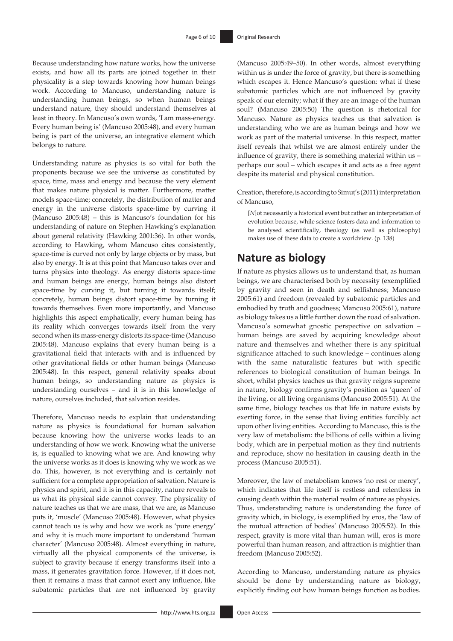Because understanding how nature works, how the universe exists, and how all its parts are joined together in their physicality is a step towards knowing how human beings work. According to Mancuso, understanding nature is understanding human beings, so when human beings understand nature, they should understand themselves at least in theory. In Mancuso's own words, 'I am mass-energy. Every human being is' (Mancuso 2005:48), and every human being is part of the universe, an integrative element which belongs to nature.

Understanding nature as physics is so vital for both the proponents because we see the universe as constituted by space, time, mass and energy and because the very element that makes nature physical is matter. Furthermore, matter models space-time; concretely, the distribution of matter and energy in the universe distorts space-time by curving it (Mancuso 2005:48) – this is Mancuso's foundation for his understanding of nature on Stephen Hawking's explanation about general relativity (Hawking 2001:36). In other words, according to Hawking, whom Mancuso cites consistently, space-time is curved not only by large objects or by mass, but also by energy. It is at this point that Mancuso takes over and turns physics into theology. As energy distorts space-time and human beings are energy, human beings also distort space-time by curving it, but turning it towards itself; concretely, human beings distort space-time by turning it towards themselves. Even more importantly, and Mancuso highlights this aspect emphatically, every human being has its reality which converges towards itself from the very second when its mass-energy distorts its space-time (Mancuso 2005:48). Mancuso explains that every human being is a gravitational field that interacts with and is influenced by other gravitational fields or other human beings (Mancuso 2005:48). In this respect, general relativity speaks about human beings, so understanding nature as physics is understanding ourselves – and it is in this knowledge of nature, ourselves included, that salvation resides.

Therefore, Mancuso needs to explain that understanding nature as physics is foundational for human salvation because knowing how the universe works leads to an understanding of how we work. Knowing what the universe is, is equalled to knowing what we are. And knowing why the universe works as it does is knowing why we work as we do. This, however, is not everything and is certainly not sufficient for a complete appropriation of salvation. Nature is physics and spirit, and it is in this capacity, nature reveals to us what its physical side cannot convey. The physicality of nature teaches us that we are mass, that we are, as Mancuso puts it, 'muscle' (Mancuso 2005:48). However, what physics cannot teach us is why and how we work as 'pure energy' and why it is much more important to understand 'human character' (Mancuso 2005:48). Almost everything in nature, virtually all the physical components of the universe, is subject to gravity because if energy transforms itself into a mass, it generates gravitation force. However, if it does not, then it remains a mass that cannot exert any influence, like subatomic particles that are not influenced by gravity

(Mancuso 2005:49–50). In other words, almost everything within us is under the force of gravity, but there is something which escapes it. Hence Mancuso's question: what if these subatomic particles which are not influenced by gravity speak of our eternity; what if they are an image of the human soul? (Mancuso 2005:50) The question is rhetorical for Mancuso. Nature as physics teaches us that salvation is understanding who we are as human beings and how we work as part of the material universe. In this respect, matter itself reveals that whilst we are almost entirely under the influence of gravity, there is something material within us – perhaps our soul – which escapes it and acts as a free agent despite its material and physical constitution.

Creation, therefore, is according to Simuț's (2011) interpretation of Mancuso,

[*N*]ot necessarily a historical event but rather an interpretation of evolution because, while science fosters data and information to be analysed scientifically, theology (as well as philosophy) makes use of these data to create a worldview. (p. 138)

# **Nature as biology**

If nature as physics allows us to understand that, as human beings, we are characterised both by necessity (exemplified by gravity and seen in death and selfishness; Mancuso 2005:61) and freedom (revealed by subatomic particles and embodied by truth and goodness; Mancuso 2005:61), nature as biology takes us a little further down the road of salvation. Mancuso's somewhat gnostic perspective on salvation – human beings are saved by acquiring knowledge about nature and themselves and whether there is any spiritual significance attached to such knowledge – continues along with the same naturalistic features but with specific references to biological constitution of human beings. In short, whilst physics teaches us that gravity reigns supreme in nature, biology confirms gravity's position as 'queen' of the living, or all living organisms (Mancuso 2005:51). At the same time, biology teaches us that life in nature exists by exerting force, in the sense that living entities forcibly act upon other living entities. According to Mancuso, this is the very law of metabolism: the billions of cells within a living body, which are in perpetual motion as they find nutrients and reproduce, show no hesitation in causing death in the process (Mancuso 2005:51).

Moreover, the law of metabolism knows 'no rest or mercy', which indicates that life itself is restless and relentless in causing death within the material realm of nature as physics. Thus, understanding nature is understanding the force of gravity which, in biology, is exemplified by eros, the 'law of the mutual attraction of bodies' (Mancuso 2005:52). In this respect, gravity is more vital than human will, eros is more powerful than human reason, and attraction is mightier than freedom (Mancuso 2005:52).

According to Mancuso, understanding nature as physics should be done by understanding nature as biology, explicitly finding out how human beings function as bodies.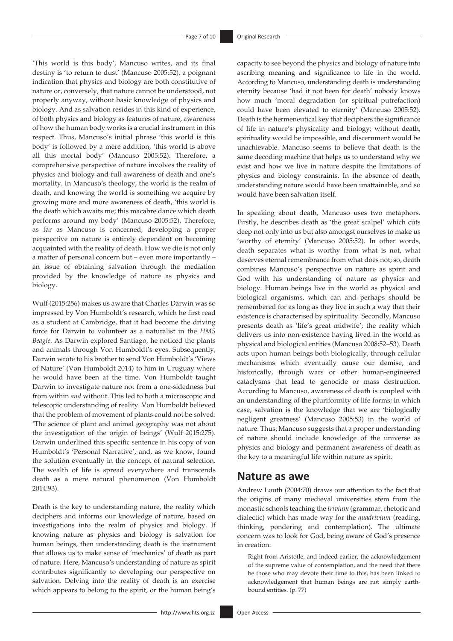'This world is this body', Mancuso writes, and its final destiny is 'to return to dust' (Mancuso 2005:52), a poignant indication that physics and biology are both constitutive of nature or, conversely, that nature cannot be understood, not properly anyway, without basic knowledge of physics and biology. And as salvation resides in this kind of experience, of both physics and biology as features of nature, awareness of how the human body works is a crucial instrument in this respect. Thus, Mancuso's initial phrase 'this world is this body' is followed by a mere addition, 'this world is above all this mortal body' (Mancuso 2005:52). Therefore, a comprehensive perspective of nature involves the reality of physics and biology and full awareness of death and one's mortality. In Mancuso's theology, the world is the realm of death, and knowing the world is something we acquire by growing more and more awareness of death, 'this world is the death which awaits me; this macabre dance which death performs around my body' (Mancuso 2005:52). Therefore, as far as Mancuso is concerned, developing a proper perspective on nature is entirely dependent on becoming acquainted with the reality of death. How we die is not only a matter of personal concern but – even more importantly – an issue of obtaining salvation through the mediation provided by the knowledge of nature as physics and biology.

Wulf (2015:256) makes us aware that Charles Darwin was so impressed by Von Humboldt's research, which he first read as a student at Cambridge, that it had become the driving force for Darwin to volunteer as a naturalist in the *HMS Beagle*. As Darwin explored Santiago, he noticed the plants and animals through Von Humboldt's eyes. Subsequently, Darwin wrote to his brother to send Von Humboldt's 'Views of Nature' (Von Humboldt 2014) to him in Uruguay where he would have been at the time. Von Humboldt taught Darwin to investigate nature not from a one-sidedness but from within *and* without. This led to both a microscopic and telescopic understanding of reality. Von Humboldt believed that the problem of movement of plants could not be solved: 'The science of plant and animal geography was not about the investigation of the origin of beings' (Wulf 2015:275). Darwin underlined this specific sentence in his copy of von Humboldt's 'Personal Narrative', and, as we know, found the solution eventually in the concept of natural selection. The wealth of life is spread everywhere and transcends death as a mere natural phenomenon (Von Humboldt 2014:93).

Death is the key to understanding nature, the reality which deciphers and informs our knowledge of nature, based on investigations into the realm of physics and biology. If knowing nature as physics and biology is salvation for human beings, then understanding death is the instrument that allows us to make sense of 'mechanics' of death as part of nature. Here, Mancuso's understanding of nature as spirit contributes significantly to developing our perspective on salvation. Delving into the reality of death is an exercise which appears to belong to the spirit, or the human being's

capacity to see beyond the physics and biology of nature into ascribing meaning and significance to life in the world. According to Mancuso, understanding death is understanding eternity because 'had it not been for death' nobody knows how much 'moral degradation (or spiritual putrefaction) could have been elevated to eternity' (Mancuso 2005:52). Death is the hermeneutical key that deciphers the significance of life in nature's physicality and biology; without death, spirituality would be impossible, and discernment would be unachievable. Mancuso seems to believe that death is the same decoding machine that helps us to understand why we exist and how we live in nature despite the limitations of physics and biology constraints. In the absence of death, understanding nature would have been unattainable, and so would have been salvation itself.

In speaking about death, Mancuso uses two metaphors. Firstly, he describes death as 'the great scalpel' which cuts deep not only into us but also amongst ourselves to make us 'worthy of eternity' (Mancuso 2005:52). In other words, death separates what is worthy from what is not, what deserves eternal remembrance from what does not; so, death combines Mancuso's perspective on nature as spirit and God with his understanding of nature as physics and biology. Human beings live in the world as physical and biological organisms, which can and perhaps should be remembered for as long as they live in such a way that their existence is characterised by spirituality. Secondly, Mancuso presents death as 'life's great midwife'; the reality which delivers us into non-existence having lived in the world as physical and biological entities (Mancuso 2008:52–53). Death acts upon human beings both biologically, through cellular mechanisms which eventually cause our demise, and historically, through wars or other human-engineered cataclysms that lead to genocide or mass destruction. According to Mancuso, awareness of death is coupled with an understanding of the pluriformity of life forms; in which case, salvation is the knowledge that we are 'biologically negligent greatness' (Mancuso 2005:53) in the world of nature. Thus, Mancuso suggests that a proper understanding of nature should include knowledge of the universe as physics and biology and permanent awareness of death as the key to a meaningful life within nature as spirit.

### **Nature as awe**

Andrew Louth (2004:70) draws our attention to the fact that the origins of many medieval universities stem from the monastic schools teaching the *trivium* (grammar, rhetoric and dialectic) which has made way for the *quadrivium* (reading, thinking, pondering and contemplation). The ultimate concern was to look for God, being aware of God's presence in creation:

Right from Aristotle, and indeed earlier, the acknowledgement of the supreme value of contemplation, and the need that there be those who may devote their time to this, has been linked to acknowledgement that human beings are not simply earthbound entities. (p. 77)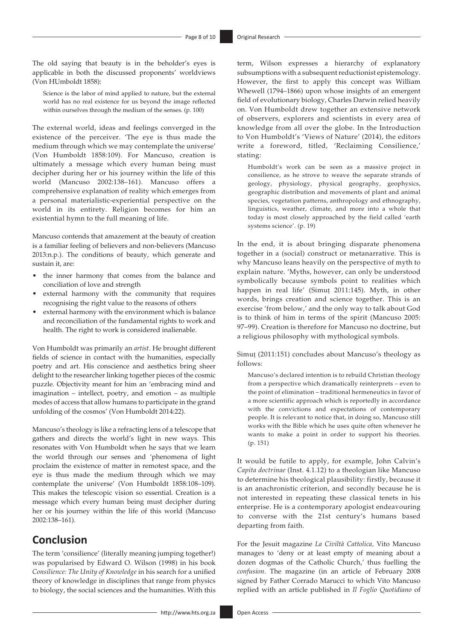The old saying that beauty is in the beholder's eyes is applicable in both the discussed proponents' worldviews (Von HUmboldt 1858):

Science is the labor of mind applied to nature, but the external world has no real existence for us beyond the image reflected within ourselves through the medium of the senses. (p. 100)

The external world, ideas and feelings converged in the existence of the perceiver. 'The eye is thus made the medium through which we may contemplate the universe' (Von Humboldt 1858:109). For Mancuso, creation is ultimately a message which every human being must decipher during her or his journey within the life of this world (Mancuso 2002:138–161). Mancuso offers a comprehensive explanation of reality which emerges from a personal materialistic-experiential perspective on the world in its entirety. Religion becomes for him an existential hymn to the full meaning of life.

Mancuso contends that amazement at the beauty of creation is a familiar feeling of believers and non-believers (Mancuso 2013:n.p.). The conditions of beauty, which generate and sustain it, are:

- the inner harmony that comes from the balance and conciliation of love and strength
- external harmony with the community that requires recognising the right value to the reasons of others
- external harmony with the environment which is balance and reconciliation of the fundamental rights to work and health. The right to work is considered inalienable.

Von Humboldt was primarily an *artist*. He brought different fields of science in contact with the humanities, especially poetry and art. His conscience and aesthetics bring sheer delight to the researcher linking together pieces of the cosmic puzzle. Objectivity meant for him an 'embracing mind and imagination – intellect, poetry, and emotion – as multiple modes of access that allow humans to participate in the grand unfolding of the cosmos' (Von Humboldt 2014:22).

Mancuso's theology is like a refracting lens of a telescope that gathers and directs the world's light in new ways. This resonates with Von Humboldt when he says that we learn the world through our senses and 'phenomena of light proclaim the existence of matter in remotest space, and the eye is thus made the medium through which we may contemplate the universe' (Von Humboldt 1858:108–109). This makes the telescopic vision so essential. Creation is a message which every human being must decipher during her or his journey within the life of this world (Mancuso 2002:138–161).

# **Conclusion**

The term 'consilience' (literally meaning jumping together!) was popularised by Edward O. Wilson (1998) in his book *Consilience: The Unity of Knowledge* in his search for a unified theory of knowledge in disciplines that range from physics to biology, the social sciences and the humanities. With this

term, Wilson expresses a hierarchy of explanatory subsumptions with a subsequent reductionist epistemology. However, the first to apply this concept was William Whewell (1794–1866) upon whose insights of an emergent field of evolutionary biology, Charles Darwin relied heavily on. Von Humboldt drew together an extensive network of observers, explorers and scientists in every area of knowledge from all over the globe. In the Introduction to Von Humboldt's 'Views of Nature' (2014), the editors write a foreword, titled, 'Reclaiming Consilience,' stating:

Humboldt's work can be seen as a massive project in consilience, as he strove to weave the separate strands of geology, physiology, physical geography, geophysics, geographic distribution and movements of plant and animal species, vegetation patterns, anthropology and ethnography, linguistics, weather, climate, and more into a whole that today is most closely approached by the field called 'earth systems science'. (p. 19)

In the end, it is about bringing disparate phenomena together in a (social) construct or metanarrative. This is why Mancuso leans heavily on the perspective of myth to explain nature. 'Myths, however, can only be understood symbolically because symbols point to realities which happen in real life' (Simuț 2011:145). Myth, in other words, brings creation and science together. This is an exercise 'from below,' and the only way to talk about God is to think of him in terms of the spirit (Mancuso 2005: 97–99). Creation is therefore for Mancuso no doctrine, but a religious philosophy with mythological symbols.

Simuț (2011:151) concludes about Mancuso's theology as follows:

Mancuso's declared intention is to rebuild Christian theology from a perspective which dramatically reinterprets – even to the point of elimination – traditional hermeneutics in favor of a more scientific approach which is reportedly in accordance with the convictions and expectations of contemporary people. It is relevant to notice that, in doing so, Mancuso still works with the Bible which he uses quite often whenever he wants to make a point in order to support his theories. (p. 151)

It would be futile to apply, for example, John Calvin's *Capita doctrinae* (Inst. 4.1.12) to a theologian like Mancuso to determine his theological plausibility: firstly, because it is an anachronistic criterion, and secondly because he is not interested in repeating these classical tenets in his enterprise. He is a contemporary apologist endeavouring to converse with the 21st century's humans based departing from faith.

For the Jesuit magazine *La Civiltà Cattolica,* Vito Mancuso manages to 'deny or at least empty of meaning about a dozen dogmas of the Catholic Church,' thus fuelling the *confusion*. The magazine (in an article of February 2008 signed by Father Corrado Marucci to which Vito Mancuso replied with an article published in *Il Foglio Quotidiano* of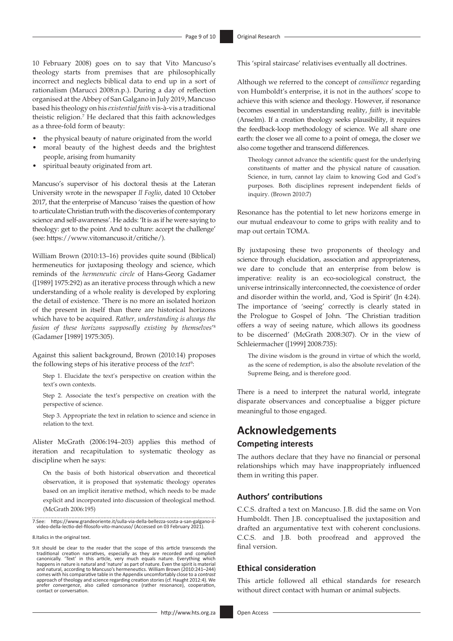10 February 2008) goes on to say that Vito Mancuso's theology starts from premises that are philosophically incorrect and neglects biblical data to end up in a sort of rationalism (Marucci 2008:n.p.). During a day of reflection organised at the Abbey of San Galgano in July 2019, Mancuso based his theology on his *existential faith* vis-à-vis a traditional theistic religion.7 He declared that this faith acknowledges as a three-fold form of beauty:

- the physical beauty of nature originated from the world
- moral beauty of the highest deeds and the brightest people, arising from humanity
- spiritual beauty originated from art.

Mancuso's supervisor of his doctoral thesis at the Lateran University wrote in the newspaper *Il Foglio*, dated 10 October 2017, that the enterprise of Mancuso 'raises the question of how to articulate Christian truth with the discoveries of contemporary science and self-awareness'. He adds: 'It is as if he were saying to theology: get to the point. And to culture: accept the challenge' (see: [https://www.vitomancuso.it/critiche/\)](https://www.vitomancuso.it/critiche/).

William Brown (2010:13–16) provides quite sound (Biblical) hermeneutics for juxtaposing theology and science, which reminds of the *hermeneutic circle* of Hans-Georg Gadamer ([1989] 1975:292) as an iterative process through which a new understanding of a whole reality is developed by exploring the detail of existence. 'There is no more an isolated horizon of the present in itself than there are historical horizons which have to be acquired. *Rather, understanding is always the fusion of these horizons supposedly existing by themselves*' 8 (Gadamer [1989] 1975:305).

Against this salient background, Brown (2010:14) proposes the following steps of his iterative process of the *text*<sup>9</sup> :

Step 1. Elucidate the text's perspective on creation within the text's own contexts.

Step 2. Associate the text's perspective on creation with the perspective of science.

Step 3. Appropriate the text in relation to science and science in relation to the text.

Alister McGrath (2006:194–203) applies this method of iteration and recapitulation to systematic theology as discipline when he says:

On the basis of both historical observation and theoretical observation, it is proposed that systematic theology operates based on an implicit iterative method, which needs to be made explicit and incorporated into discussion of theological method. (McGrath 2006:195)

8.Italics in the original text.

9.It should be clear to the reader that the scope of this article transcends the traditional creation narratives, especially as they are recorded and complied<br>canonically. 'Text' in this article, very much equals nature. Everything which<br>happensinnature-is-natural-and'nature'-as-part-of-nature. Even-th and natural, according to Mancuso's hermeneutics. William Brown (2010:241–244) comes with his comparative table in the Appendix uncomfortably close to a *contrast*  approach of theology and science regarding creation stories (cf. Haught 2012:4). We prefer *convergence*, also called consonance (rather resonance), cooperation, contact or conversation.

This 'spiral staircase' relativises eventually all doctrines.

Although we referred to the concept of *consilience* regarding von Humboldt's enterprise, it is not in the authors' scope to achieve this with science and theology. However, if resonance becomes essential in understanding reality, *faith* is inevitable (Anselm). If a creation theology seeks plausibility, it requires the feedback-loop methodology of science. We all share one earth: the closer we all come to a point of omega, the closer we also come together and transcend differences.

Theology cannot advance the scientific quest for the underlying constituents of matter and the physical nature of causation. Science, in turn, cannot lay claim to knowing God and God's purposes. Both disciplines represent independent fields of inquiry. (Brown 2010:7)

Resonance has the potential to let new horizons emerge in our mutual endeavour to come to grips with reality and to map out certain TOMA.

By juxtaposing these two proponents of theology and science through elucidation, association and appropriateness, we dare to conclude that an enterprise from below is imperative: reality is an eco-sociological construct, the universe intrinsically interconnected, the coexistence of order and disorder within the world, and, 'God is Spirit' (Jn 4:24). The importance of 'seeing' correctly is clearly stated in the Prologue to Gospel of John. 'The Christian tradition offers a way of seeing nature, which allows its goodness to be discerned' (McGrath 2008:307). Or in the view of Schleiermacher ([1999] 2008:735):

The divine wisdom is the ground in virtue of which the world, as the scene of redemption, is also the absolute revelation of the Supreme Being, and is therefore good.

There is a need to interpret the natural world, integrate disparate observances and conceptualise a bigger picture meaningful to those engaged.

# **Acknowledgements Competing interests**

The authors declare that they have no financial or personal relationships which may have inappropriately influenced them in writing this paper.

### **Authors' contributions**

C.C.S. drafted a text on Mancuso. J.B. did the same on Von Humboldt. Then J.B. conceptualised the juxtaposition and drafted an argumentative text with coherent conclusions. C.C.S. and J.B. both proofread and approved the final version.

### **Ethical consideration**

This article followed all ethical standards for research without direct contact with human or animal subjects.

<sup>7.</sup>See: [https://www.grandeoriente.it/sulla-via-della-bellezza-sosta-a-san-galgano-il-](https://www.grandeoriente.it/sulla-via-della-bellezza-sosta-a-san-galgano-il-video-della-lectio-del-filosofo-vito-mancuso/)[video-della-lectio-del-filosofo-vito-mancuso/](https://www.grandeoriente.it/sulla-via-della-bellezza-sosta-a-san-galgano-il-video-della-lectio-del-filosofo-vito-mancuso/) (Accessed on 03 February 2021).